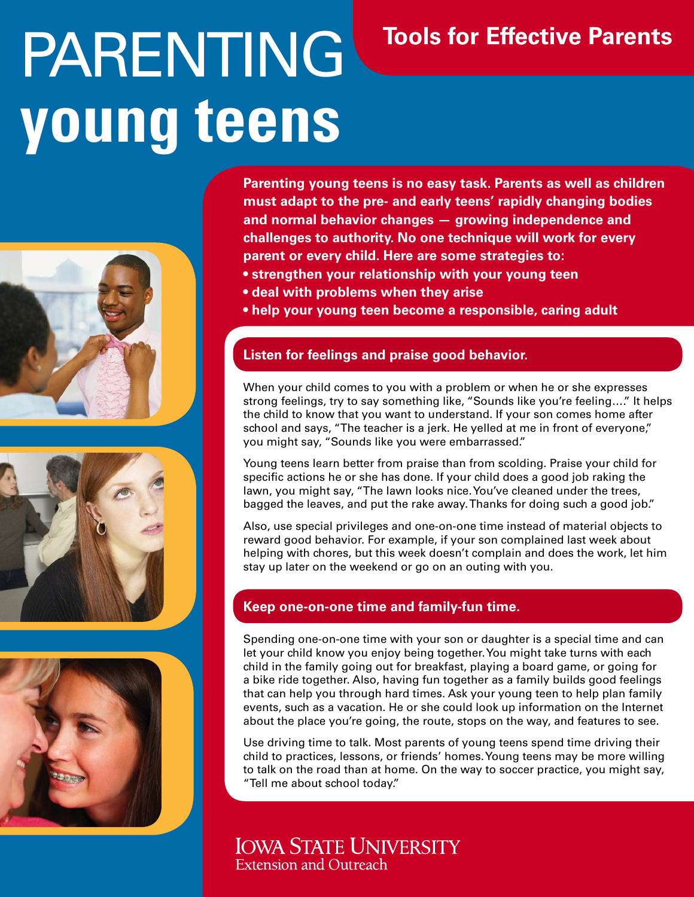# PARENTING **young teens**







# **Tools for Effective Parents**

**Parenting young teens is no easy task. Parents as well as children must adapt to the pre- and early teens' rapidly changing bodies and normal behavior changes — growing independence and challenges to authority. No one technique will work for every parent or every child. Here are some strategies to:**

- **strengthen your relationship with your young teen**
- **deal with problems when they arise**
- **help your young teen become a responsible, caring adult**

### **Listen for feelings and praise good behavior.**

When your child comes to you with a problem or when he or she expresses strong feelings, try to say something like, "Sounds like you're feeling…." It helps the child to know that you want to understand. If your son comes home after school and says, "The teacher is a jerk. He yelled at me in front of everyone," you might say, "Sounds like you were embarrassed."

Young teens learn better from praise than from scolding. Praise your child for specific actions he or she has done. If your child does a good job raking the lawn, you might say, "The lawn looks nice. You've cleaned under the trees, bagged the leaves, and put the rake away. Thanks for doing such a good job."

Also, use special privileges and one-on-one time instead of material objects to reward good behavior. For example, if your son complained last week about helping with chores, but this week doesn't complain and does the work, let him stay up later on the weekend or go on an outing with you.

## **Keep one-on-one time and family-fun time.**

Spending one-on-one time with your son or daughter is a special time and can let your child know you enjoy being together. You might take turns with each child in the family going out for breakfast, playing a board game, or going for a bike ride together. Also, having fun together as a family builds good feelings that can help you through hard times. Ask your young teen to help plan family events, such as a vacation. He or she could look up information on the Internet about the place you're going, the route, stops on the way, and features to see.

Use driving time to talk. Most parents of young teens spend time driving their child to practices, lessons, or friends' homes. Young teens may be more willing to talk on the road than at home. On the way to soccer practice, you might say, "Tell me about school today."

# **IOWA STATE UNIVERSITY Extension and Outreach**